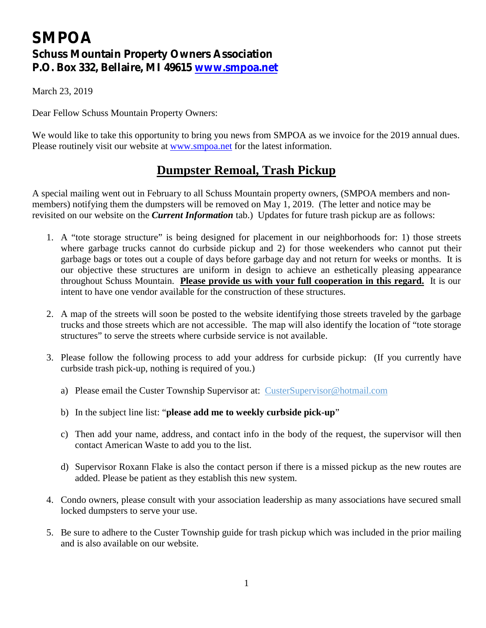# **SMPOA Schuss Mountain Property Owners Association P.O. Box 332, Bellaire, MI 49615 [www.smpoa.net](http://www.smpoa.net)**

March 23, 2019

Dear Fellow Schuss Mountain Property Owners:

We would like to take this opportunity to bring you news from SMPOA as we invoice for the 2019 annual dues. Please routinely visit our website at [www.smpoa.net](http://www.smpoa.net) for the latest information.

### **Dumpster Remoal, Trash Pickup**

A special mailing went out in February to all Schuss Mountain property owners, (SMPOA members and nonmembers) notifying them the dumpsters will be removed on May 1, 2019. (The letter and notice may be revisited on our website on the *Current Information* tab.) Updates for future trash pickup are as follows:

- 1. A "tote storage structure" is being designed for placement in our neighborhoods for: 1) those streets where garbage trucks cannot do curbside pickup and 2) for those weekenders who cannot put their garbage bags or totes out a couple of days before garbage day and not return for weeks or months. It is our objective these structures are uniform in design to achieve an esthetically pleasing appearance throughout Schuss Mountain. **Please provide us with your full cooperation in this regard.** It is our intent to have one vendor available for the construction of these structures.
- 2. A map of the streets will soon be posted to the website identifying those streets traveled by the garbage trucks and those streets which are not accessible. The map will also identify the location of "tote storage structures" to serve the streets where curbside service is not available.
- 3. Please follow the following process to add your address for curbside pickup: (If you currently have curbside trash pick-up, nothing is required of you.)
	- a) Please email the Custer Township Supervisor at: [CusterSupervisor@hotmail.com](mailto:CusterSupervisor@hotmail.com)
	- b) In the subject line list: "**please add me to weekly curbside pick-up**"
	- c) Then add your name, address, and contact info in the body of the request, the supervisor will then contact American Waste to add you to the list.
	- d) Supervisor Roxann Flake is also the contact person if there is a missed pickup as the new routes are added. Please be patient as they establish this new system.
- 4. Condo owners, please consult with your association leadership as many associations have secured small locked dumpsters to serve your use.
- 5. Be sure to adhere to the Custer Township guide for trash pickup which was included in the prior mailing and is also available on our website.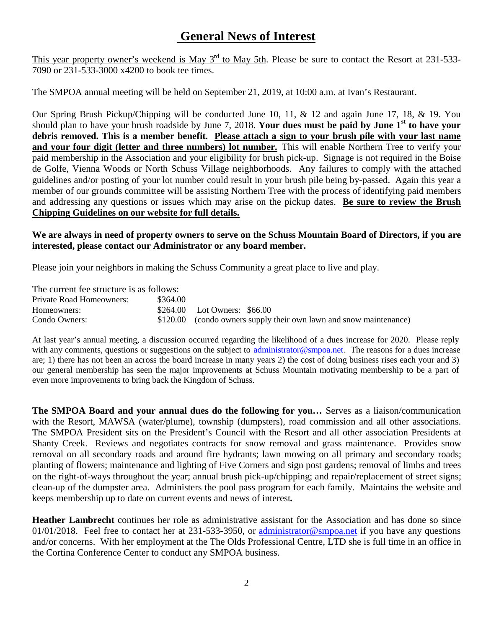## **General News of Interest**

This year property owner's weekend is May  $3<sup>rd</sup>$  to May 5th. Please be sure to contact the Resort at 231-533-7090 or 231-533-3000 x4200 to book tee times.

The SMPOA annual meeting will be held on September 21, 2019, at 10:00 a.m. at Ivan's Restaurant.

Our Spring Brush Pickup/Chipping will be conducted June 10, 11, & 12 and again June 17, 18, & 19. You should plan to have your brush roadside by June 7, 2018. **Your dues must be paid by June 1st to have your**  debris removed. This is a member benefit. Please attach a sign to your brush pile with your last name **and your four digit (letter and three numbers) lot number.** This will enable Northern Tree to verify your paid membership in the Association and your eligibility for brush pick-up. Signage is not required in the Boise de Golfe, Vienna Woods or North Schuss Village neighborhoods. Any failures to comply with the attached guidelines and/or posting of your lot number could result in your brush pile being by-passed. Again this year a member of our grounds committee will be assisting Northern Tree with the process of identifying paid members and addressing any questions or issues which may arise on the pickup dates. **Be sure to review the Brush Chipping Guidelines on our website for full details.** 

#### **We are always in need of property owners to serve on the Schuss Mountain Board of Directors, if you are interested, please contact our Administrator or any board member.**

Please join your neighbors in making the Schuss Community a great place to live and play.

The current fee structure is as follows: Private Road Homeowners: \$364.00 Homeowners: \$264.00 Lot Owners: \$66.00 Condo Owners: \$120.00 (condo owners supply their own lawn and snow maintenance)

At last year's annual meeting, a discussion occurred regarding the likelihood of a dues increase for 2020. Please reply with any comments, questions or suggestions on the subject to [administrator@smpoa.net](mailto:administrator@smpoa.net). The reasons for a dues increase are; 1) there has not been an across the board increase in many years 2) the cost of doing business rises each your and 3) our general membership has seen the major improvements at Schuss Mountain motivating membership to be a part of even more improvements to bring back the Kingdom of Schuss.

**The SMPOA Board and your annual dues do the following for you…** Serves as a liaison/communication with the Resort, MAWSA (water/plume), township (dumpsters), road commission and all other associations. The SMPOA President sits on the President's Council with the Resort and all other association Presidents at Shanty Creek. Reviews and negotiates contracts for snow removal and grass maintenance. Provides snow removal on all secondary roads and around fire hydrants; lawn mowing on all primary and secondary roads; planting of flowers; maintenance and lighting of Five Corners and sign post gardens; removal of limbs and trees on the right-of-ways throughout the year; annual brush pick-up/chipping; and repair/replacement of street signs; clean-up of the dumpster area. Administers the pool pass program for each family. Maintains the website and keeps membership up to date on current events and news of interest**.** 

**Heather Lambrecht** continues her role as administrative assistant for the Association and has done so since  $01/01/2018$ . Feel free to contact her at 231-533-3950, or administrator @smpoa.net if you have any questions and/or concerns. With her employment at the The Olds Professional Centre, LTD she is full time in an office in the Cortina Conference Center to conduct any SMPOA business.